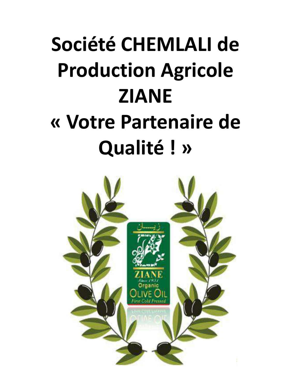# **Société CHEMLALI de Production Agricole ZIANE « Votre Partenaire de Qualité ! »**

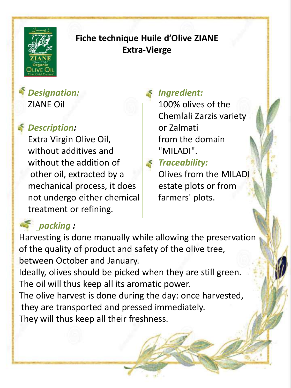

## **Fiche technique Huile d'Olive ZIANE Extra-Vierge**

*Designation:* ZIANE Oil

## *Description:*

Extra Virgin Olive Oil, without additives and without the addition of other oil, extracted by a mechanical process, it does not undergo either chemical treatment or refining.

# *Ingredient:*

100% olives of the Chemlali Zarzis variety or Zalmati from the domain "MILADI".

### *Traceability:*

Olives from the MILADI estate plots or from farmers' plots.

# *packing :*

Harvesting is done manually while allowing the preservation of the quality of product and safety of the olive tree, between October and January. Ideally, olives should be picked when they are still green. The oil will thus keep all its aromatic power. The olive harvest is done during the day: once harvested, they are transported and pressed immediately. They will thus keep all their freshness.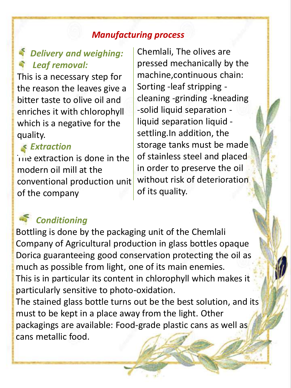#### *Manufacturing process*

## *Delivery and weighing: Leaf removal:*

This is a necessary step for the reason the leaves give a bitter taste to olive oil and enriches it with chlorophyll which is a negative for the quality.

#### *Extraction*

The extraction is done in the modern oil mill at the conventional production unit of the company

Chemlali, The olives are pressed mechanically by the machine,continuous chain: Sorting -leaf stripping cleaning -grinding -kneading -solid liquid separation liquid separation liquid settling.In addition, the storage tanks must be made of stainless steel and placed in order to preserve the oil without risk of deterioration of its quality.

# *Conditioning*

Bottling is done by the packaging unit of the Chemlali Company of Agricultural production in glass bottles opaque Dorica guaranteeing good conservation protecting the oil as much as possible from light, one of its main enemies. This is in particular its content in chlorophyll which makes it particularly sensitive to photo-oxidation. The stained glass bottle turns out be the best solution, and its

must to be kept in a place away from the light. Other packagings are available: Food-grade plastic cans as well as cans metallic food.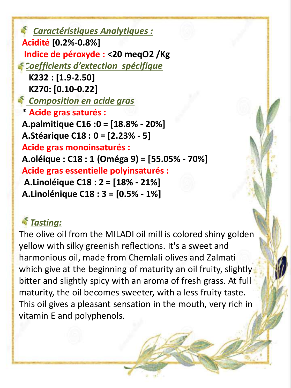*Caractéristiques Analytiques :*  **Acidité [0.2%-0.8%] Indice de péroxyde : <20 meqO2 /Kg** *Coefficients d'extection spécifique*  **K232 : [1.9-2.50] K270: [0.10-0.22]**  *Composition en acide gras*  \* **Acide gras saturés : A.palmitique C16 :0 = [18.8% - 20%] A.Stéarique C18 : 0 = [2.23% - 5] Acide gras monoinsaturés : A.oléique : C18 : 1 (Oméga 9) = [55.05% - 70%] Acide gras essentielle polyinsaturés : A.Linoléique C18 : 2 = [18% - 21%] A.Linolénique C18 : 3 = [0.5% - 1%]**

## *Tasting:*

The olive oil from the MILADI oil mill is colored shiny golden yellow with silky greenish reflections. It's a sweet and harmonious oil, made from Chemlali olives and Zalmati which give at the beginning of maturity an oil fruity, slightly bitter and slightly spicy with an aroma of fresh grass. At full maturity, the oil becomes sweeter, with a less fruity taste. This oil gives a pleasant sensation in the mouth, very rich in vitamin E and polyphenols*.*